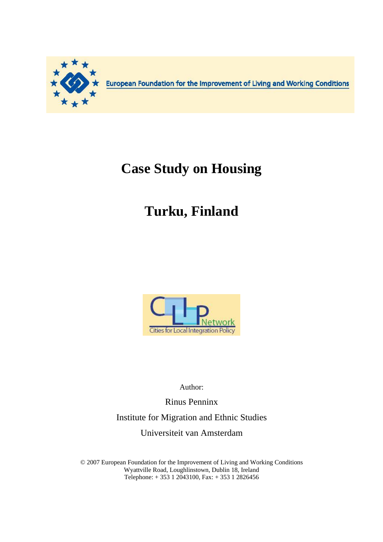

European Foundation for the Improvement of Living and Working Conditions

## **Case Study on Housing**

# **Turku, Finland**



Author:

Rinus Penninx Institute for Migration and Ethnic Studies Universiteit van Amsterdam

© 2007 European Foundation for the Improvement of Living and Working Conditions Wyattville Road, Loughlinstown, Dublin 18, Ireland Telephone: + 353 1 2043100, Fax: + 353 1 2826456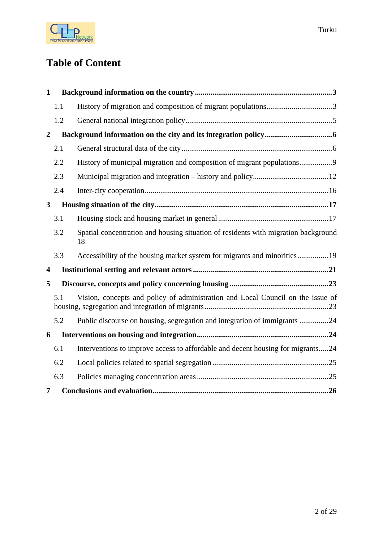

## **Table of Content**

| 1                       |     |                                                                                          |
|-------------------------|-----|------------------------------------------------------------------------------------------|
|                         | 1.1 |                                                                                          |
|                         | 1.2 |                                                                                          |
| $\overline{2}$          |     |                                                                                          |
|                         | 2.1 |                                                                                          |
|                         | 2.2 | History of municipal migration and composition of migrant populations9                   |
|                         | 2.3 |                                                                                          |
|                         | 2.4 |                                                                                          |
| $\mathbf{3}$            |     |                                                                                          |
|                         | 3.1 |                                                                                          |
|                         | 3.2 | Spatial concentration and housing situation of residents with migration background<br>18 |
|                         | 3.3 |                                                                                          |
| $\overline{\mathbf{4}}$ |     |                                                                                          |
| 5                       |     |                                                                                          |
|                         | 5.1 | Vision, concepts and policy of administration and Local Council on the issue of          |
|                         | 5.2 | Public discourse on housing, segregation and integration of immigrants 24                |
| 6                       |     |                                                                                          |
|                         | 6.1 | Interventions to improve access to affordable and decent housing for migrants24          |
|                         | 6.2 |                                                                                          |
|                         | 6.3 |                                                                                          |
| 7                       |     |                                                                                          |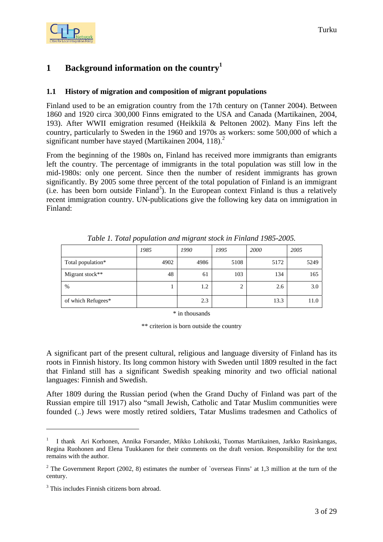<span id="page-2-0"></span>

## **1 Background information on the countr[y1](#page-2-1)**

#### **1.1 History of migration and composition of migrant populations**

Finland used to be an emigration country from the 17th century on (Tanner 2004). Between 1860 and 1920 circa 300,000 Finns emigrated to the USA and Canada (Martikainen, 2004, 193). After WWII emigration resumed (Heikkilä & Peltonen 2002). Many Fins left the country, particularly to Sweden in the 1960 and 1970s as workers: some 500,000 of which a significant number have stayed (Martikainen 2004,  $118$ ).<sup>2</sup>

From the beginning of the 1980s on, Finland has received more immigrants than emigrants left the country. The percentage of immigrants in the total population was still low in the mid-1980s: only one percent. Since then the number of resident immigrants has grown significantly. By 2005 some three percent of the total population of Finland is an immigrant  $(i.e.$  has been born outside Finland<sup>3</sup>). In the European context Finland is thus a relatively recent immigration country. UN-publications give the following key data on immigration in Finland:

|                    | 1985 | 1990 | 1995 | 2000 | 2005 |
|--------------------|------|------|------|------|------|
| Total population*  | 4902 | 4986 | 5108 | 5172 | 5249 |
| Migrant stock**    | 48   | 61   | 103  | 134  | 165  |
| $\%$               |      | 1.2  |      | 2.6  | 3.0  |
| of which Refugees* |      | 2.3  |      | 13.3 | 11.0 |

*Table 1. Total population and migrant stock in Finland 1985-2005.* 

\* in thousands

\*\* criterion is born outside the country

A significant part of the present cultural, religious and language diversity of Finland has its roots in Finnish history. Its long common history with Sweden until 1809 resulted in the fact that Finland still has a significant Swedish speaking minority and two official national languages: Finnish and Swedish.

After 1809 during the Russian period (when the Grand Duchy of Finland was part of the Russian empire till 1917) also "small Jewish, Catholic and Tatar Muslim communities were founded (..) Jews were mostly retired soldiers, Tatar Muslims tradesmen and Catholics of

 $\overline{a}$ 

<span id="page-2-1"></span><sup>1</sup> I thank Ari Korhonen, Annika Forsander, Mikko Lohikoski, Tuomas Martikainen, Jarkko Rasinkangas, Regina Ruohonen and Elena Tuukkanen for their comments on the draft version. Responsibility for the text remains with the author.

<span id="page-2-2"></span><sup>&</sup>lt;sup>2</sup> The Government Report (2002, 8) estimates the number of `overseas Finns' at 1,3 million at the turn of the century.

<span id="page-2-3"></span><sup>&</sup>lt;sup>3</sup> This includes Finnish citizens born abroad.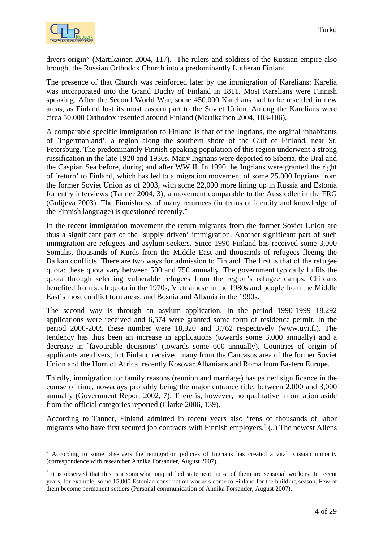

divers origin" (Martikainen 2004, 117). The rulers and soldiers of the Russian empire also brought the Russian Orthodox Church into a predominantly Lutheran Finland.

The presence of that Church was reinforced later by the immigration of Karelians: Karelia was incorporated into the Grand Duchy of Finland in 1811. Most Karelians were Finnish speaking. After the Second World War, some 450.000 Karelians had to be resettled in new areas, as Finland lost its most eastern part to the Soviet Union. Among the Karelians were circa 50.000 Orthodox resettled around Finland (Martikainen 2004, 103-106).

A comparable specific immigration to Finland is that of the Ingrians, the orginal inhabitants of `Ingermanland', a region along the southern shore of the Gulf of Finland, near St. Petersburg. The predominantly Finnish speaking population of this region underwent a strong russification in the late 1920 and 1930s. Many Ingrians were deported to Siberia, the Ural and the Caspian Sea before, during and after WW II. In 1990 the Ingrians were granted the right of `return' to Finland, which has led to a migration movement of some 25.000 Ingrians from the former Soviet Union as of 2003, with some 22,000 more lining up in Russia and Estonia for entry interviews (Tanner 2004, 3); a movement comparable to the Aussiedler in the FRG (Gulijeva 2003). The Finnishness of many returnees (in terms of identity and knowledge of the Finnish language) is questioned recently. $4$ 

In the recent immigration movement the return migrants from the former Soviet Union are thus a significant part of the `supply driven' immigration. Another significant part of such immigration are refugees and asylum seekers. Since 1990 Finland has received some 3,000 Somalis, thousands of Kurds from the Middle East and thousands of refugees fleeing the Balkan conflicts. There are two ways for admission to Finland. The first is that of the refugee quota: these quota vary between 500 and 750 annually. The government typically fulfils the quota through selecting vulnerable refugees from the region's refugee camps. Chileans benefited from such quota in the 1970s, Vietnamese in the 1980s and people from the Middle East's most conflict torn areas, and Bosnia and Albania in the 1990s.

The second way is through an asylum application. In the period 1990-1999 18,292 applications were received and 6,574 were granted some form of residence permit. In the period 2000-2005 these number were 18,920 and 3,762 respectively (www.uvi.fi). The tendency has thus been an increase in applications (towards some 3,000 annually) and a decrease in `favourable decisions' (towards some 600 annually). Countries of origin of applicants are divers, but Finland received many from the Caucasus area of the former Soviet Union and the Horn of Africa, recently Kosovar Albanians and Roma from Eastern Europe.

Thirdly, immigration for family reasons (reunion and marriage) has gained significance in the course of time, nowadays probably being the major entrance title, between 2,000 and 3,000 annually (Government Report 2002, 7). There is, however, no qualitative information aside from the official categories reported (Clarke 2006, 139).

According to Tanner, Finland admitted in recent years also "tens of thousands of labor migrants who have first secured job contracts with Finnish employers.<sup>[5](#page-3-1)</sup> (..) The newest Aliens

<span id="page-3-0"></span><sup>&</sup>lt;sup>4</sup> According to some observers the remigration policies of Ingrians has created a vital Russian minority (correspondence with researcher Annika Forsander, August 2007).

<span id="page-3-1"></span><sup>&</sup>lt;sup>5</sup> It is observed that this is a somewhat unqualified statement: most of them are seasonal workers. In recent years, for example, some 15,000 Estonian construction workers come to Finland for the building season. Few of them become permanent settlers (Personal communication of Annika Forsander, August 2007).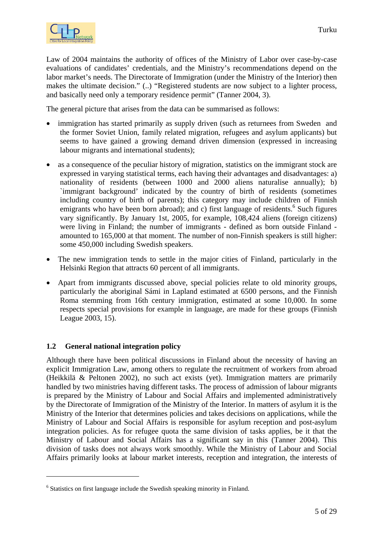<span id="page-4-0"></span>

Law of 2004 maintains the authority of offices of the Ministry of Labor over case-by-case evaluations of candidates' credentials, and the Ministry's recommendations depend on the labor market's needs. The Directorate of Immigration (under the Ministry of the Interior) then makes the ultimate decision." (..) "Registered students are now subject to a lighter process, and basically need only a temporary residence permit" (Tanner 2004, 3).

The general picture that arises from the data can be summarised as follows:

- immigration has started primarily as supply driven (such as returnees from Sweden and the former Soviet Union, family related migration, refugees and asylum applicants) but seems to have gained a growing demand driven dimension (expressed in increasing labour migrants and international students);
- as a consequence of the peculiar history of migration, statistics on the immigrant stock are expressed in varying statistical terms, each having their advantages and disadvantages: a) nationality of residents (between 1000 and 2000 aliens naturalise annually); b) `immigrant background' indicated by the country of birth of residents (sometimes including country of birth of parents); this category may include children of Finnish emigrants who have been born abroad); and c) first language of residents.<sup>6</sup> Such figures vary significantly. By January 1st, 2005, for example, 108,424 aliens (foreign citizens) were living in Finland; the number of immigrants - defined as born outside Finland amounted to 165,000 at that moment. The number of non-Finnish speakers is still higher: some 450,000 including Swedish speakers.
- The new immigration tends to settle in the major cities of Finland, particularly in the Helsinki Region that attracts 60 percent of all immigrants.
- Apart from immigrants discussed above, special policies relate to old minority groups, particularly the aboriginal Sámi in Lapland estimated at 6500 persons, and the Finnish Roma stemming from 16th century immigration, estimated at some 10,000. In some respects special provisions for example in language, are made for these groups (Finnish League 2003, 15).

#### **1.2 General national integration policy**

 $\overline{a}$ 

Although there have been political discussions in Finland about the necessity of having an explicit Immigration Law, among others to regulate the recruitment of workers from abroad (Heikkilä & Peltonen 2002), no such act exists (yet). Immigration matters are primarily handled by two ministries having different tasks. The process of admission of labour migrants is prepared by the Ministry of Labour and Social Affairs and implemented administratively by the Directorate of Immigration of the Ministry of the Interior. In matters of asylum it is the Ministry of the Interior that determines policies and takes decisions on applications, while the Ministry of Labour and Social Affairs is responsible for asylum reception and post-asylum integration policies. As for refugee quota the same division of tasks applies, be it that the Ministry of Labour and Social Affairs has a significant say in this (Tanner 2004). This division of tasks does not always work smoothly. While the Ministry of Labour and Social Affairs primarily looks at labour market interests, reception and integration, the interests of

<span id="page-4-1"></span><sup>&</sup>lt;sup>6</sup> Statistics on first language include the Swedish speaking minority in Finland.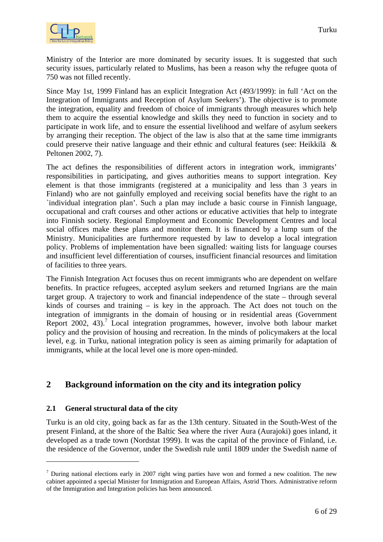<span id="page-5-0"></span>

Ministry of the Interior are more dominated by security issues. It is suggested that such security issues, particularly related to Muslims, has been a reason why the refugee quota of 750 was not filled recently.

Since May 1st, 1999 Finland has an explicit Integration Act (493/1999): in full 'Act on the Integration of Immigrants and Reception of Asylum Seekers'). The objective is to promote the integration, equality and freedom of choice of immigrants through measures which help them to acquire the essential knowledge and skills they need to function in society and to participate in work life, and to ensure the essential livelihood and welfare of asylum seekers by arranging their reception. The object of the law is also that at the same time immigrants could preserve their native language and their ethnic and cultural features (see: Heikkilä & Peltonen 2002, 7).

The act defines the responsibilities of different actors in integration work, immigrants' responsibilities in participating, and gives authorities means to support integration. Key element is that those immigrants (registered at a municipality and less than 3 years in Finland) who are not gainfully employed and receiving social benefits have the right to an `individual integration plan'. Such a plan may include a basic course in Finnish language, occupational and craft courses and other actions or educative activities that help to integrate into Finnish society. Regional Employment and Economic Development Centres and local social offices make these plans and monitor them. It is financed by a lump sum of the Ministry. Municipalities are furthermore requested by law to develop a local integration policy. Problems of implementation have been signalled: waiting lists for language courses and insufficient level differentiation of courses, insufficient financial resources and limitation of facilities to three years.

The Finnish Integration Act focuses thus on recent immigrants who are dependent on welfare benefits. In practice refugees, accepted asylum seekers and returned Ingrians are the main target group. A trajectory to work and financial independence of the state – through several kinds of courses and training – is key in the approach. The Act does not touch on the integration of immigrants in the domain of housing or in residential areas (Government Report 2002, 43).<sup>[7](#page-5-1)</sup> Local integration programmes, however, involve both labour market policy and the provision of housing and recreation. In the minds of policymakers at the local level, e.g. in Turku, national integration policy is seen as aiming primarily for adaptation of immigrants, while at the local level one is more open-minded.

## **2 Background information on the city and its integration policy**

#### **2.1 General structural data of the city**

 $\overline{a}$ 

Turku is an old city, going back as far as the 13th century. Situated in the South-West of the present Finland, at the shore of the Baltic Sea where the river Aura (Aurajoki) goes inland, it developed as a trade town (Nordstat 1999). It was the capital of the province of Finland, i.e. the residence of the Governor, under the Swedish rule until 1809 under the Swedish name of

<span id="page-5-1"></span><sup>&</sup>lt;sup>7</sup> During national elections early in 2007 right wing parties have won and formed a new coalition. The new cabinet appointed a special Minister for Immigration and European Affairs, Astrid Thors. Administrative reform of the Immigration and Integration policies has been announced.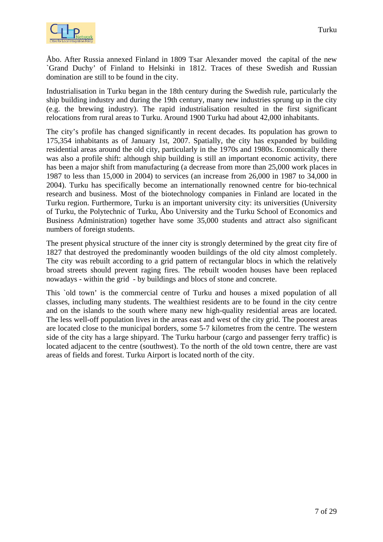

Åbo. After Russia annexed Finland in 1809 Tsar Alexander moved the capital of the new `Grand Duchy' of Finland to Helsinki in 1812. Traces of these Swedish and Russian domination are still to be found in the city.

Industrialisation in Turku began in the 18th century during the Swedish rule, particularly the ship building industry and during the 19th century, many new industries sprung up in the city (e.g. the brewing industry). The rapid industrialisation resulted in the first significant relocations from rural areas to Turku. Around 1900 Turku had about 42,000 inhabitants.

The city's profile has changed significantly in recent decades. Its population has grown to 175,354 inhabitants as of January 1st, 2007. Spatially, the city has expanded by building residential areas around the old city, particularly in the 1970s and 1980s. Economically there was also a profile shift: although ship building is still an important economic activity, there has been a major shift from manufacturing (a decrease from more than 25,000 work places in 1987 to less than 15,000 in 2004) to services (an increase from 26,000 in 1987 to 34,000 in 2004). Turku has specifically become an internationally renowned centre for bio-technical research and business. Most of the biotechnology companies in Finland are located in the Turku region. Furthermore, Turku is an important university city: its universities (University of Turku, the Polytechnic of Turku, Åbo University and the Turku School of Economics and Business Administration) together have some 35,000 students and attract also significant numbers of foreign students.

The present physical structure of the inner city is strongly determined by the great city fire of 1827 that destroyed the predominantly wooden buildings of the old city almost completely. The city was rebuilt according to a grid pattern of rectangular blocs in which the relatively broad streets should prevent raging fires. The rebuilt wooden houses have been replaced nowadays - within the grid - by buildings and blocs of stone and concrete.

This `old town' is the commercial centre of Turku and houses a mixed population of all classes, including many students. The wealthiest residents are to be found in the city centre and on the islands to the south where many new high-quality residential areas are located. The less well-off population lives in the areas east and west of the city grid. The poorest areas are located close to the municipal borders, some 5-7 kilometres from the centre. The western side of the city has a large shipyard. The Turku harbour (cargo and passenger ferry traffic) is located adjacent to the centre (southwest). To the north of the old town centre, there are vast areas of fields and forest. Turku Airport is located north of the city.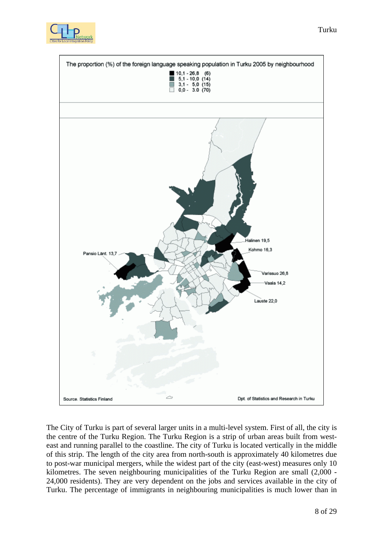



The City of Turku is part of several larger units in a multi-level system. First of all, the city is the centre of the Turku Region. The Turku Region is a strip of urban areas built from westeast and running parallel to the coastline. The city of Turku is located vertically in the middle of this strip. The length of the city area from north-south is approximately 40 kilometres due to post-war municipal mergers, while the widest part of the city (east-west) measures only 10 kilometres. The seven neighbouring municipalities of the Turku Region are small (2,000 - 24,000 residents). They are very dependent on the jobs and services available in the city of Turku. The percentage of immigrants in neighbouring municipalities is much lower than in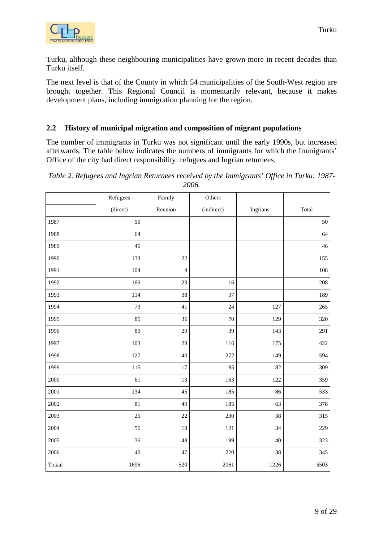<span id="page-8-0"></span>

Turku, although these neighbouring municipalities have grown more in recent decades than Turku itself.

The next level is that of the County in which 54 municipalities of the South-West region are brought together. This Regional Council is momentarily relevant, because it makes development plans, including immigration planning for the region.

#### **2.2 History of municipal migration and composition of migrant populations**

The number of immigrants in Turku was not significant until the early 1990s, but increased afterwards. The table below indicates the numbers of immigrants for which the Immigrants' Office of the city had direct responsibility: refugees and Ingrian returnees.

| Table 2. Refugees and Ingrian Returnees received by the Immigrants' Office in Turku: 1987- |       |  |  |  |
|--------------------------------------------------------------------------------------------|-------|--|--|--|
|                                                                                            | 2006. |  |  |  |

|        | Refugees | Family         | Others     |          |       |
|--------|----------|----------------|------------|----------|-------|
|        | (direct) | Reunion        | (indirect) | Ingrians | Total |
| 1987   | 50       |                |            |          | 50    |
| 1988   | 64       |                |            |          | 64    |
| 1989   | 46       |                |            |          | 46    |
| 1990   | 133      | 22             |            |          | 155   |
| 1991   | 104      | $\overline{4}$ |            |          | 108   |
| 1992   | 169      | 23             | 16         |          | 208   |
| 1993   | 114      | 38             | 37         |          | 189   |
| 1994   | 73       | 41             | 24         | 127      | 265   |
| 1995   | 85       | 36             | $70\,$     | 129      | 320   |
| 1996   | 80       | 29             | 39         | 143      | 291   |
| 1997   | 103      | 28             | 116        | 175      | 422   |
| 1998   | 127      | 40             | 272        | 149      | 594   |
| 1999   | 115      | 17             | 95         | 82       | 309   |
| 2000   | 61       | 13             | 163        | 122      | 359   |
| 2001   | 134      | 45             | 185        | 86       | 533   |
| 2002   | 81       | 49             | 185        | 63       | 378   |
| 2003   | 25       | 22             | 230        | 38       | 315   |
| 2004   | 56       | 18             | 121        | 34       | 229   |
| 2005   | 36       | 48             | 199        | 40       | 323   |
| 2006   | 40       | 47             | 220        | 38       | 345   |
| Totaal | 1696     | 520            | 2061       | 1226     | 5503  |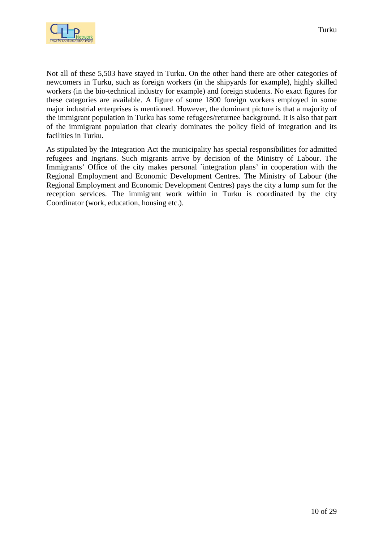

Not all of these 5,503 have stayed in Turku. On the other hand there are other categories of newcomers in Turku, such as foreign workers (in the shipyards for example), highly skilled workers (in the bio-technical industry for example) and foreign students. No exact figures for these categories are available. A figure of some 1800 foreign workers employed in some major industrial enterprises is mentioned. However, the dominant picture is that a majority of the immigrant population in Turku has some refugees/returnee background. It is also that part of the immigrant population that clearly dominates the policy field of integration and its facilities in Turku.

As stipulated by the Integration Act the municipality has special responsibilities for admitted refugees and Ingrians. Such migrants arrive by decision of the Ministry of Labour. The Immigrants' Office of the city makes personal 'integration plans' in cooperation with the Regional Employment and Economic Development Centres. The Ministry of Labour (the Regional Employment and Economic Development Centres) pays the city a lump sum for the reception services. The immigrant work within in Turku is coordinated by the city Coordinator (work, education, housing etc.).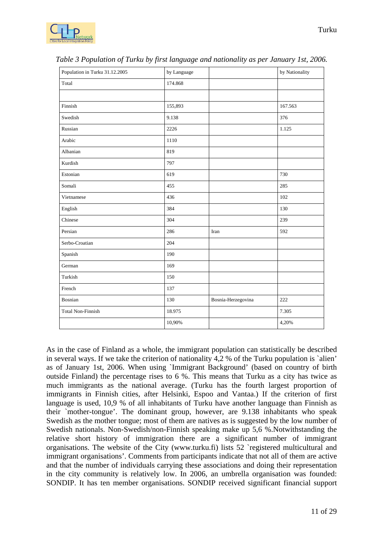

| Population in Turku 31.12.2005 | by Language |                    | by Nationality |
|--------------------------------|-------------|--------------------|----------------|
| Total                          | 174.868     |                    |                |
|                                |             |                    |                |
| Finnish                        | 155,893     |                    | 167.563        |
| Swedish                        | 9.138       |                    | 376            |
| Russian                        | 2226        |                    | 1.125          |
| Arabic                         | 1110        |                    |                |
| Albanian                       | 819         |                    |                |
| Kurdish                        | 797         |                    |                |
| Estonian                       | 619         |                    | 730            |
| Somali                         | 455         |                    | 285            |
| Vietnamese                     | 436         |                    | 102            |
| English                        | 384         |                    | 130            |
| Chinese                        | 304         |                    | 239            |
| Persian                        | 286         | Iran               | 592            |
| Serbo-Croatian                 | 204         |                    |                |
| Spanish                        | 190         |                    |                |
| German                         | 169         |                    |                |
| Turkish                        | 150         |                    |                |
| French                         | 137         |                    |                |
| Bosnian                        | 130         | Bosnia-Herzegovina | 222            |
| <b>Total Non-Finnish</b>       | 18.975      |                    | 7.305          |
|                                | 10,90%      |                    | 4,20%          |

*Table 3 Population of Turku by first language and nationality as per January 1st, 2006.* 

As in the case of Finland as a whole, the immigrant population can statistically be described in several ways. If we take the criterion of nationality 4,2 % of the Turku population is `alien' as of January 1st, 2006. When using `Immigrant Background' (based on country of birth outside Finland) the percentage rises to 6 %. This means that Turku as a city has twice as much immigrants as the national average. (Turku has the fourth largest proportion of immigrants in Finnish cities, after Helsinki, Espoo and Vantaa.) If the criterion of first language is used, 10,9 % of all inhabitants of Turku have another language than Finnish as their `mother-tongue'. The dominant group, however, are 9.138 inhabitants who speak Swedish as the mother tongue; most of them are natives as is suggested by the low number of Swedish nationals. Non-Swedish/non-Finnish speaking make up 5,6 %.Notwithstanding the relative short history of immigration there are a significant number of immigrant organisations. The website of the City (www.turku.fi) lists 52 `registered multicultural and immigrant organisations'. Comments from participants indicate that not all of them are active and that the number of individuals carrying these associations and doing their representation in the city community is relatively low. In 2006, an umbrella organisation was founded: SONDIP. It has ten member organisations. SONDIP received significant financial support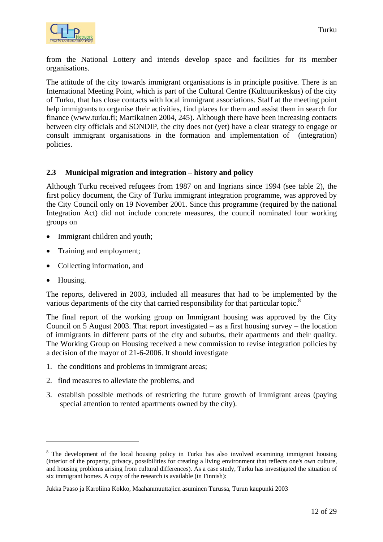<span id="page-11-0"></span>

from the National Lottery and intends develop space and facilities for its member organisations.

The attitude of the city towards immigrant organisations is in principle positive. There is an International Meeting Point, which is part of the Cultural Centre (Kulttuurikeskus) of the city of Turku, that has close contacts with local immigrant associations. Staff at the meeting point help immigrants to organise their activities, find places for them and assist them in search for finance (www.turku.fi; Martikainen 2004, 245). Although there have been increasing contacts between city officials and SONDIP, the city does not (yet) have a clear strategy to engage or consult immigrant organisations in the formation and implementation of (integration) policies.

#### **2.3 Municipal migration and integration – history and policy**

Although Turku received refugees from 1987 on and Ingrians since 1994 (see table 2), the first policy document, the City of Turku immigrant integration programme, was approved by the City Council only on 19 November 2001. Since this programme (required by the national Integration Act) did not include concrete measures, the council nominated four working groups on

- Immigrant children and youth:
- Training and employment;
- Collecting information, and
- Housing.

 $\overline{a}$ 

The reports, delivered in 2003, included all measures that had to be implemented by the various departments of the city that carried responsibility for that particular topic.<sup>8</sup>

The final report of the working group on Immigrant housing was approved by the City Council on 5 August 2003. That report investigated – as a first housing survey – the location of immigrants in different parts of the city and suburbs, their apartments and their quality. The Working Group on Housing received a new commission to revise integration policies by a decision of the mayor of 21-6-2006. It should investigate

- 1. the conditions and problems in immigrant areas;
- 2. find measures to alleviate the problems, and
- 3. establish possible methods of restricting the future growth of immigrant areas (paying special attention to rented apartments owned by the city).

<span id="page-11-1"></span><sup>&</sup>lt;sup>8</sup> The development of the local housing policy in Turku has also involved examining immigrant housing (interior of the property, privacy, possibilities for creating a living environment that reflects one's own culture, and housing problems arising from cultural differences). As a case study, Turku has investigated the situation of six immigrant homes. A copy of the research is available (in Finnish):

Jukka Paaso ja Karoliina Kokko, Maahanmuuttajien asuminen Turussa, Turun kaupunki 2003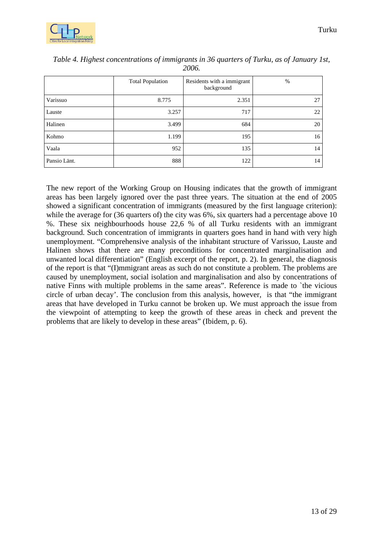

|              | <b>Total Population</b> | Residents with a immigrant<br>background | %  |
|--------------|-------------------------|------------------------------------------|----|
| Varissuo     | 8.775                   | 2.351                                    | 27 |
| Lauste       | 3.257                   | 717                                      | 22 |
| Halinen      | 3.499                   | 684                                      | 20 |
| Kohmo        | 1.199                   | 195                                      | 16 |
| Vaala        | 952                     | 135                                      | 14 |
| Pansio Länt. | 888                     | 122                                      | 14 |

*Table 4. Highest concentrations of immigrants in 36 quarters of Turku, as of January 1st, 2006.* 

The new report of the Working Group on Housing indicates that the growth of immigrant areas has been largely ignored over the past three years. The situation at the end of 2005 showed a significant concentration of immigrants (measured by the first language criterion): while the average for (36 quarters of) the city was 6%, six quarters had a percentage above 10 %. These six neighbourhoods house 22,6 % of all Turku residents with an immigrant background. Such concentration of immigrants in quarters goes hand in hand with very high unemployment. "Comprehensive analysis of the inhabitant structure of Varissuo, Lauste and Halinen shows that there are many preconditions for concentrated marginalisation and unwanted local differentiation" (English excerpt of the report, p. 2). In general, the diagnosis of the report is that "(I)mmigrant areas as such do not constitute a problem. The problems are caused by unemployment, social isolation and marginalisation and also by concentrations of native Finns with multiple problems in the same areas". Reference is made to `the vicious circle of urban decay'. The conclusion from this analysis, however, is that "the immigrant areas that have developed in Turku cannot be broken up. We must approach the issue from the viewpoint of attempting to keep the growth of these areas in check and prevent the problems that are likely to develop in these areas" (Ibidem, p. 6).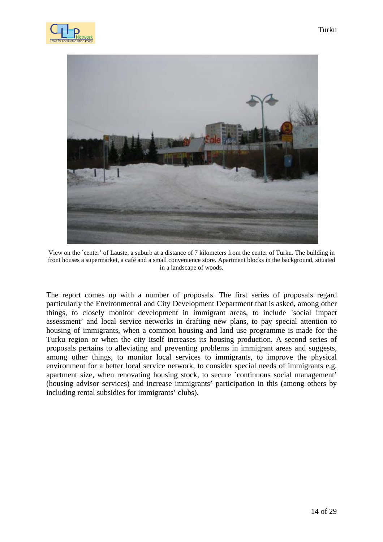



View on the `center' of Lauste, a suburb at a distance of 7 kilometers from the center of Turku. The building in front houses a supermarket, a café and a small convenience store. Apartment blocks in the background, situated in a landscape of woods.

The report comes up with a number of proposals. The first series of proposals regard particularly the Environmental and City Development Department that is asked, among other things, to closely monitor development in immigrant areas, to include `social impact assessment' and local service networks in drafting new plans, to pay special attention to housing of immigrants, when a common housing and land use programme is made for the Turku region or when the city itself increases its housing production. A second series of proposals pertains to alleviating and preventing problems in immigrant areas and suggests, among other things, to monitor local services to immigrants, to improve the physical environment for a better local service network, to consider special needs of immigrants e.g. apartment size, when renovating housing stock, to secure `continuous social management' (housing advisor services) and increase immigrants' participation in this (among others by including rental subsidies for immigrants' clubs).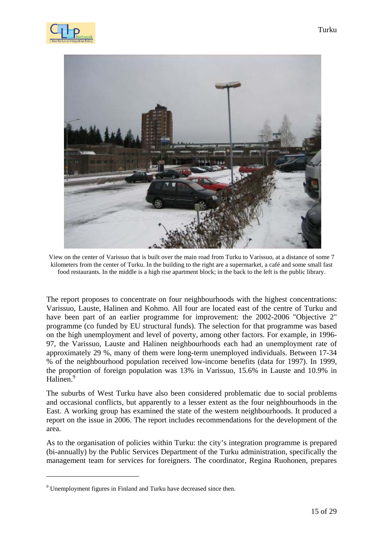



View on the center of Varissuo that is built over the main road from Turku to Varissuo, at a distance of some 7 kilometers from the center of Turku. In the building to the right are a supermarket, a café and some small fast food restaurants. In the middle is a high rise apartment block; in the back to the left is the public library.

The report proposes to concentrate on four neighbourhoods with the highest concentrations: Varissuo, Lauste, Halinen and Kohmo. All four are located east of the centre of Turku and have been part of an earlier programme for improvement: the 2002-2006 "Objective 2" programme (co funded by EU structural funds). The selection for that programme was based on the high unemployment and level of poverty, among other factors. For example, in 1996- 97, the Varissuo, Lauste and Halinen neighbourhoods each had an unemployment rate of approximately 29 %, many of them were long-term unemployed individuals. Between 17-34 % of the neighbourhood population received low-income benefits (data for 1997). In 1999, the proportion of foreign population was 13% in Varissuo, 15.6% in Lauste and 10.9% in Halinen.<sup>9</sup>

The suburbs of West Turku have also been considered problematic due to social problems and occasional conflicts, but apparently to a lesser extent as the four neighbourhoods in the East. A working group has examined the state of the western neighbourhoods. It produced a report on the issue in 2006. The report includes recommendations for the development of the area.

As to the organisation of policies within Turku: the city's integration programme is prepared (bi-annually) by the Public Services Department of the Turku administration, specifically the management team for services for foreigners. The coordinator, Regina Ruohonen, prepares

 $\overline{a}$ 

<span id="page-14-0"></span><sup>&</sup>lt;sup>9</sup> Unemployment figures in Finland and Turku have decreased since then.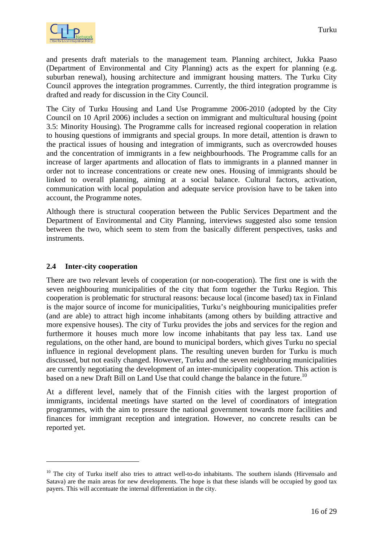<span id="page-15-0"></span>and presents draft materials to the management team. Planning architect, Jukka Paaso (Department of Environmental and City Planning) acts as the expert for planning (e.g. suburban renewal), housing architecture and immigrant housing matters. The Turku City Council approves the integration programmes. Currently, the third integration programme is drafted and ready for discussion in the City Council.

The City of Turku Housing and Land Use Programme 2006-2010 (adopted by the City Council on 10 April 2006) includes a section on immigrant and multicultural housing (point 3.5: Minority Housing). The Programme calls for increased regional cooperation in relation to housing questions of immigrants and special groups. In more detail, attention is drawn to the practical issues of housing and integration of immigrants, such as overcrowded houses and the concentration of immigrants in a few neighbourhoods. The Programme calls for an increase of larger apartments and allocation of flats to immigrants in a planned manner in order not to increase concentrations or create new ones. Housing of immigrants should be linked to overall planning, aiming at a social balance. Cultural factors, activation, communication with local population and adequate service provision have to be taken into account, the Programme notes.

Although there is structural cooperation between the Public Services Department and the Department of Environmental and City Planning, interviews suggested also some tension between the two, which seem to stem from the basically different perspectives, tasks and instruments.

#### **2.4 Inter-city cooperation**

 $\overline{a}$ 

There are two relevant levels of cooperation (or non-cooperation). The first one is with the seven neighbouring municipalities of the city that form together the Turku Region. This cooperation is problematic for structural reasons: because local (income based) tax in Finland is the major source of income for municipalities, Turku's neighbouring municipalities prefer (and are able) to attract high income inhabitants (among others by building attractive and more expensive houses). The city of Turku provides the jobs and services for the region and furthermore it houses much more low income inhabitants that pay less tax. Land use regulations, on the other hand, are bound to municipal borders, which gives Turku no special influence in regional development plans. The resulting uneven burden for Turku is much discussed, but not easily changed. However, Turku and the seven neighbouring municipalities are currently negotiating the development of an inter-municipality cooperation. This action is based on a new Draft Bill on Land Use that could change the balance in the future.<sup>10</sup>

At a different level, namely that of the Finnish cities with the largest proportion of immigrants, incidental meetings have started on the level of coordinators of integration programmes, with the aim to pressure the national government towards more facilities and finances for immigrant reception and integration. However, no concrete results can be reported yet.

<span id="page-15-1"></span><sup>&</sup>lt;sup>10</sup> The city of Turku itself also tries to attract well-to-do inhabitants. The southern islands (Hirvensalo and Satava) are the main areas for new developments. The hope is that these islands will be occupied by good tax payers. This will accentuate the internal differentiation in the city.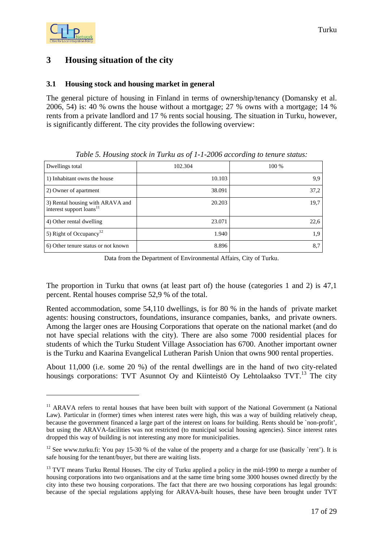## <span id="page-16-0"></span>**3 Housing situation of the city**

#### **3.1 Housing stock and housing market in general**

The general picture of housing in Finland in terms of ownership/tenancy (Domansky et al. 2006, 54) is: 40 % owns the house without a mortgage; 27 % owns with a mortgage; 14 % rents from a private landlord and 17 % rents social housing. The situation in Turku, however, is significantly different. The city provides the following overview:

| Dwellings total                                                          | 102.304 | 100 % |
|--------------------------------------------------------------------------|---------|-------|
| 1) Inhabitant owns the house                                             | 10.103  | 9,9   |
| 2) Owner of apartment                                                    | 38.091  | 37,2  |
| 3) Rental housing with ARAVA and<br>interest support loans <sup>11</sup> | 20.203  | 19,7  |
| 4) Other rental dwelling                                                 | 23.071  | 22,6  |
| 5) Right of Occupancy <sup>12</sup>                                      | 1.940   | 1,9   |
| 6) Other tenure status or not known                                      | 8.896   | 8,7   |

*Table 5. Housing stock in Turku as of 1-1-2006 according to tenure status:* 

Data from the Department of Environmental Affairs, City of Turku.

The proportion in Turku that owns (at least part of) the house (categories 1 and 2) is 47,1 percent. Rental houses comprise 52,9 % of the total.

Rented accommodation, some 54,110 dwellings, is for 80 % in the hands of private market agents: housing constructors, foundations, insurance companies, banks, and private owners. Among the larger ones are Housing Corporations that operate on the national market (and do not have special relations with the city). There are also some 7000 residential places for students of which the Turku Student Village Association has 6700. Another important owner is the Turku and Kaarina Evangelical Lutheran Parish Union that owns 900 rental properties.

About 11,000 (i.e. some 20 %) of the rental dwellings are in the hand of two city-related housings corporations: TVT Asunnot Oy and Kiinteistö Oy Lehtolaakso TVT.<sup>13</sup> The city

<span id="page-16-1"></span><sup>&</sup>lt;sup>11</sup> ARAVA refers to rental houses that have been built with support of the National Government (a National Law). Particular in (former) times when interest rates were high, this was a way of building relatively cheap, because the government financed a large part of the interest on loans for building. Rents should be `non-profit', but using the ARAVA-facilities was not restricted (to municipal social housing agencies). Since interest rates dropped this way of building is not interesting any more for municipalities.

<span id="page-16-2"></span><sup>&</sup>lt;sup>12</sup> See www.turku.fi: You pay 15-30 % of the value of the property and a charge for use (basically `rent'). It is safe housing for the tenant/buyer, but there are waiting lists.

<span id="page-16-3"></span><sup>&</sup>lt;sup>13</sup> TVT means Turku Rental Houses. The city of Turku applied a policy in the mid-1990 to merge a number of housing corporations into two organisations and at the same time bring some 3000 houses owned directly by the city into these two housing corporations. The fact that there are two housing corporations has legal grounds: because of the special regulations applying for ARAVA-built houses, these have been brought under TVT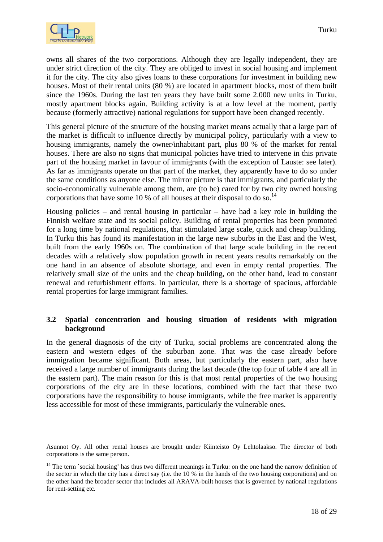<span id="page-17-0"></span>

owns all shares of the two corporations. Although they are legally independent, they are under strict direction of the city. They are obliged to invest in social housing and implement it for the city. The city also gives loans to these corporations for investment in building new houses. Most of their rental units (80 %) are located in apartment blocks, most of them built since the 1960s. During the last ten years they have built some 2.000 new units in Turku, mostly apartment blocks again. Building activity is at a low level at the moment, partly because (formerly attractive) national regulations for support have been changed recently.

This general picture of the structure of the housing market means actually that a large part of the market is difficult to influence directly by municipal policy, particularly with a view to housing immigrants, namely the owner/inhabitant part, plus 80 % of the market for rental houses. There are also no signs that municipal policies have tried to intervene in this private part of the housing market in favour of immigrants (with the exception of Lauste: see later). As far as immigrants operate on that part of the market, they apparently have to do so under the same conditions as anyone else. The mirror picture is that immigrants, and particularly the socio-economically vulnerable among them, are (to be) cared for by two city owned housing corporations that have some 10 % of all houses at their disposal to do so.<sup>[14](#page-17-1)</sup>

Housing policies – and rental housing in particular – have had a key role in building the Finnish welfare state and its social policy. Building of rental properties has been promoted for a long time by national regulations, that stimulated large scale, quick and cheap building. In Turku this has found its manifestation in the large new suburbs in the East and the West, built from the early 1960s on. The combination of that large scale building in the recent decades with a relatively slow population growth in recent years results remarkably on the one hand in an absence of absolute shortage, and even in empty rental properties. The relatively small size of the units and the cheap building, on the other hand, lead to constant renewal and refurbishment efforts. In particular, there is a shortage of spacious, affordable rental properties for large immigrant families.

#### **3.2 Spatial concentration and housing situation of residents with migration background**

In the general diagnosis of the city of Turku, social problems are concentrated along the eastern and western edges of the suburban zone. That was the case already before immigration became significant. Both areas, but particularly the eastern part, also have received a large number of immigrants during the last decade (the top four of table 4 are all in the eastern part). The main reason for this is that most rental properties of the two housing corporations of the city are in these locations, combined with the fact that these two corporations have the responsibility to house immigrants, while the free market is apparently less accessible for most of these immigrants, particularly the vulnerable ones.

Asunnot Oy. All other rental houses are brought under Kiinteistö Oy Lehtolaakso. The director of both corporations is the same person.

<span id="page-17-1"></span><sup>&</sup>lt;sup>14</sup> The term `social housing' has thus two different meanings in Turku: on the one hand the narrow definition of the sector in which the city has a direct say (i.e. the 10 % in the hands of the two housing corporations) and on the other hand the broader sector that includes all ARAVA-built houses that is governed by national regulations for rent-setting etc.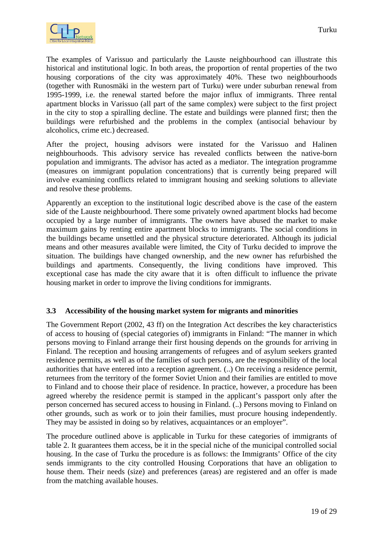<span id="page-18-0"></span>

The examples of Varissuo and particularly the Lauste neighbourhood can illustrate this historical and institutional logic. In both areas, the proportion of rental properties of the two housing corporations of the city was approximately 40%. These two neighbourhoods (together with Runosmäki in the western part of Turku) were under suburban renewal from 1995-1999, i.e. the renewal started before the major influx of immigrants. Three rental apartment blocks in Varissuo (all part of the same complex) were subject to the first project in the city to stop a spiralling decline. The estate and buildings were planned first; then the buildings were refurbished and the problems in the complex (antisocial behaviour by alcoholics, crime etc.) decreased.

After the project, housing advisors were instated for the Varissuo and Halinen neighbourhoods. This advisory service has revealed conflicts between the native-born population and immigrants. The advisor has acted as a mediator. The integration programme (measures on immigrant population concentrations) that is currently being prepared will involve examining conflicts related to immigrant housing and seeking solutions to alleviate and resolve these problems.

Apparently an exception to the institutional logic described above is the case of the eastern side of the Lauste neighbourhood. There some privately owned apartment blocks had become occupied by a large number of immigrants. The owners have abused the market to make maximum gains by renting entire apartment blocks to immigrants. The social conditions in the buildings became unsettled and the physical structure deteriorated. Although its judicial means and other measures available were limited, the City of Turku decided to improve the situation. The buildings have changed ownership, and the new owner has refurbished the buildings and apartments. Consequently, the living conditions have improved. This exceptional case has made the city aware that it is often difficult to influence the private housing market in order to improve the living conditions for immigrants.

#### **3.3 Accessibility of the housing market system for migrants and minorities**

The Government Report (2002, 43 ff) on the Integration Act describes the key characteristics of access to housing of (special categories of) immigrants in Finland: "The manner in which persons moving to Finland arrange their first housing depends on the grounds for arriving in Finland. The reception and housing arrangements of refugees and of asylum seekers granted residence permits, as well as of the families of such persons, are the responsibility of the local authorities that have entered into a reception agreement. (..) On receiving a residence permit, returnees from the territory of the former Soviet Union and their families are entitled to move to Finland and to choose their place of residence. In practice, however, a procedure has been agreed whereby the residence permit is stamped in the applicant's passport only after the person concerned has secured access to housing in Finland. (..) Persons moving to Finland on other grounds, such as work or to join their families, must procure housing independently. They may be assisted in doing so by relatives, acquaintances or an employer".

The procedure outlined above is applicable in Turku for these categories of immigrants of table 2. It guarantees them access, be it in the special niche of the municipal controlled social housing. In the case of Turku the procedure is as follows: the Immigrants' Office of the city sends immigrants to the city controlled Housing Corporations that have an obligation to house them. Their needs (size) and preferences (areas) are registered and an offer is made from the matching available houses.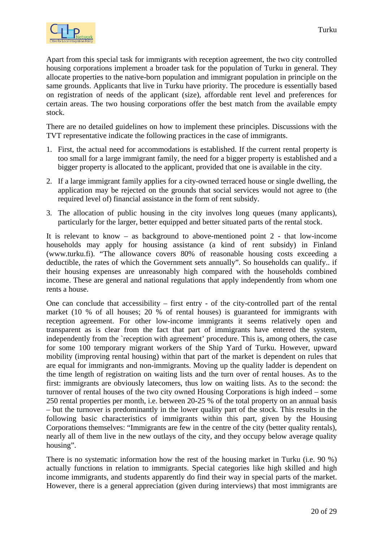

Apart from this special task for immigrants with reception agreement, the two city controlled housing corporations implement a broader task for the population of Turku in general. They allocate properties to the native-born population and immigrant population in principle on the same grounds. Applicants that live in Turku have priority. The procedure is essentially based on registration of needs of the applicant (size), affordable rent level and preferences for certain areas. The two housing corporations offer the best match from the available empty stock.

There are no detailed guidelines on how to implement these principles. Discussions with the TVT representative indicate the following practices in the case of immigrants.

- 1. First, the actual need for accommodations is established. If the current rental property is too small for a large immigrant family, the need for a bigger property is established and a bigger property is allocated to the applicant, provided that one is available in the city.
- 2. If a large immigrant family applies for a city-owned terraced house or single dwelling, the application may be rejected on the grounds that social services would not agree to (the required level of) financial assistance in the form of rent subsidy.
- 3. The allocation of public housing in the city involves long queues (many applicants), particularly for the larger, better equipped and better situated parts of the rental stock.

It is relevant to know – as background to above-mentioned point 2 - that low-income households may apply for housing assistance (a kind of rent subsidy) in Finland (www.turku.fi). "The allowance covers 80% of reasonable housing costs exceeding a deductible, the rates of which the Government sets annually". So households can qualify.. if their housing expenses are unreasonably high compared with the households combined income. These are general and national regulations that apply independently from whom one rents a house.

One can conclude that accessibility – first entry - of the city-controlled part of the rental market (10 % of all houses; 20 % of rental houses) is guaranteed for immigrants with reception agreement. For other low-income immigrants it seems relatively open and transparent as is clear from the fact that part of immigrants have entered the system, independently from the 'reception with agreement' procedure. This is, among others, the case for some 100 temporary migrant workers of the Ship Yard of Turku. However, upward mobility (improving rental housing) within that part of the market is dependent on rules that are equal for immigrants and non-immigrants. Moving up the quality ladder is dependent on the time length of registration on waiting lists and the turn over of rental houses. As to the first: immigrants are obviously latecomers, thus low on waiting lists. As to the second: the turnover of rental houses of the two city owned Housing Corporations is high indeed – some 250 rental properties per month, i.e. between 20-25 % of the total property on an annual basis – but the turnover is predominantly in the lower quality part of the stock. This results in the following basic characteristics of immigrants within this part, given by the Housing Corporations themselves: "Immigrants are few in the centre of the city (better quality rentals), nearly all of them live in the new outlays of the city, and they occupy below average quality housing".

There is no systematic information how the rest of the housing market in Turku (i.e. 90 %) actually functions in relation to immigrants. Special categories like high skilled and high income immigrants, and students apparently do find their way in special parts of the market. However, there is a general appreciation (given during interviews) that most immigrants are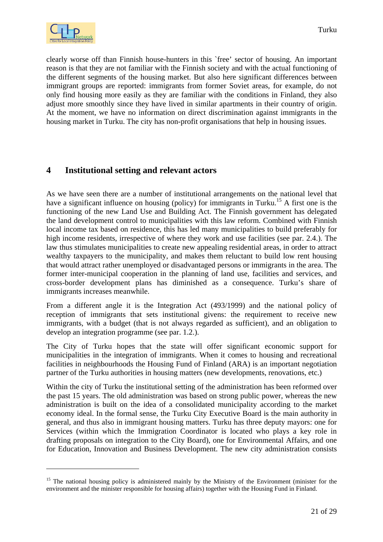<span id="page-20-0"></span>clearly worse off than Finnish house-hunters in this `free' sector of housing. An important reason is that they are not familiar with the Finnish society and with the actual functioning of the different segments of the housing market. But also here significant differences between immigrant groups are reported: immigrants from former Soviet areas, for example, do not only find housing more easily as they are familiar with the conditions in Finland, they also adjust more smoothly since they have lived in similar apartments in their country of origin. At the moment, we have no information on direct discrimination against immigrants in the housing market in Turku. The city has non-profit organisations that help in housing issues.

## **4 Institutional setting and relevant actors**

As we have seen there are a number of institutional arrangements on the national level that have a significant influence on housing (policy) for immigrants in Turku.<sup>15</sup> A first one is the functioning of the new Land Use and Building Act. The Finnish government has delegated the land development control to municipalities with this law reform. Combined with Finnish local income tax based on residence, this has led many municipalities to build preferably for high income residents, irrespective of where they work and use facilities (see par. 2.4.). The law thus stimulates municipalities to create new appealing residential areas, in order to attract wealthy taxpayers to the municipality, and makes them reluctant to build low rent housing that would attract rather unemployed or disadvantaged persons or immigrants in the area. The former inter-municipal cooperation in the planning of land use, facilities and services, and cross-border development plans has diminished as a consequence. Turku's share of immigrants increases meanwhile.

From a different angle it is the Integration Act (493/1999) and the national policy of reception of immigrants that sets institutional givens: the requirement to receive new immigrants, with a budget (that is not always regarded as sufficient), and an obligation to develop an integration programme (see par. 1.2.).

The City of Turku hopes that the state will offer significant economic support for municipalities in the integration of immigrants. When it comes to housing and recreational facilities in neighbourhoods the Housing Fund of Finland (ARA) is an important negotiation partner of the Turku authorities in housing matters (new developments, renovations, etc.)

Within the city of Turku the institutional setting of the administration has been reformed over the past 15 years. The old administration was based on strong public power, whereas the new administration is built on the idea of a consolidated municipality according to the market economy ideal. In the formal sense, the Turku City Executive Board is the main authority in general, and thus also in immigrant housing matters. Turku has three deputy mayors: one for Services (within which the Immigration Coordinator is located who plays a key role in drafting proposals on integration to the City Board), one for Environmental Affairs, and one for Education, Innovation and Business Development. The new city administration consists

<span id="page-20-1"></span><sup>&</sup>lt;sup>15</sup> The national housing policy is administered mainly by the Ministry of the Environment (minister for the environment and the minister responsible for housing affairs) together with the Housing Fund in Finland.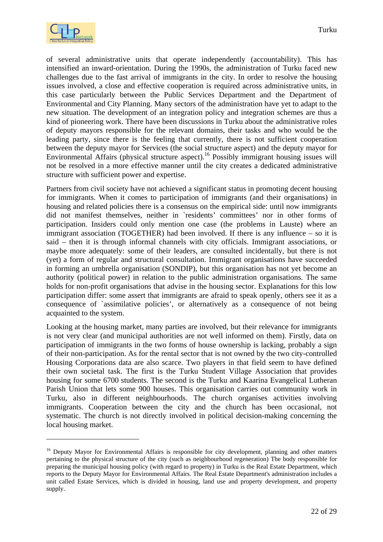

of several administrative units that operate independently (accountability). This has intensified an inward-orientation. During the 1990s, the administration of Turku faced new challenges due to the fast arrival of immigrants in the city. In order to resolve the housing issues involved, a close and effective cooperation is required across administrative units, in this case particularly between the Public Services Department and the Department of Environmental and City Planning. Many sectors of the administration have yet to adapt to the new situation. The development of an integration policy and integration schemes are thus a kind of pioneering work. There have been discussions in Turku about the administrative roles of deputy mayors responsible for the relevant domains, their tasks and who would be the leading party, since there is the feeling that currently, there is not sufficient cooperation between the deputy mayor for Services (the social structure aspect) and the deputy mayor for Environmental Affairs (physical structure aspect).<sup>16</sup> Possibly immigrant housing issues will not be resolved in a more effective manner until the city creates a dedicated administrative structure with sufficient power and expertise.

Partners from civil society have not achieved a significant status in promoting decent housing for immigrants. When it comes to participation of immigrants (and their organisations) in housing and related policies there is a consensus on the empirical side: until now immigrants did not manifest themselves, neither in `residents' committees' nor in other forms of participation. Insiders could only mention one case (the problems in Lauste) where an immigrant association (TOGETHER) had been involved. If there is any influence – so it is said – then it is through informal channels with city officials. Immigrant associations, or maybe more adequately: some of their leaders, are consulted incidentally, but there is not (yet) a form of regular and structural consultation. Immigrant organisations have succeeded in forming an umbrella organisation (SONDIP), but this organisation has not yet become an authority (political power) in relation to the public administration organisations. The same holds for non-profit organisations that advise in the housing sector. Explanations for this low participation differ: some assert that immigrants are afraid to speak openly, others see it as a consequence of `assimilative policies', or alternatively as a consequence of not being acquainted to the system.

Looking at the housing market, many parties are involved, but their relevance for immigrants is not very clear (and municipal authorities are not well informed on them). Firstly, data on participation of immigrants in the two forms of house ownership is lacking, probably a sign of their non-participation. As for the rental sector that is not owned by the two city-controlled Housing Corporations data are also scarce. Two players in that field seem to have defined their own societal task. The first is the Turku Student Village Association that provides housing for some 6700 students. The second is the Turku and Kaarina Evangelical Lutheran Parish Union that lets some 900 houses. This organisation carries out community work in Turku, also in different neighbourhoods. The church organises activities involving immigrants. Cooperation between the city and the church has been occasional, not systematic. The church is not directly involved in political decision-making concerning the local housing market.

<span id="page-21-0"></span><sup>&</sup>lt;sup>16</sup> Deputy Mayor for Environmental Affairs is responsible for city development, planning and other matters pertaining to the physical structure of the city (such as neighbourhood regeneration) The body responsible for preparing the municipal housing policy (with regard to property) in Turku is the Real Estate Department, which reports to the Deputy Mayor for Environmental Affairs. The Real Estate Department's administration includes a unit called Estate Services, which is divided in housing, land use and property development, and property supply.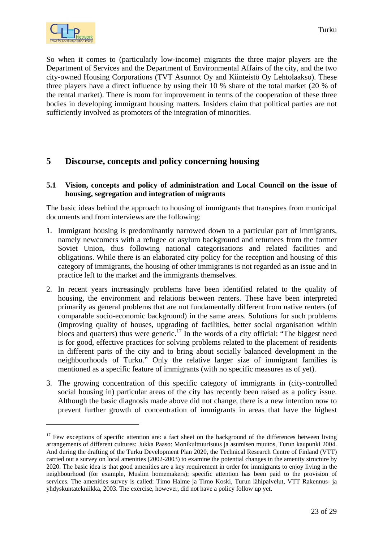<span id="page-22-0"></span>So when it comes to (particularly low-income) migrants the three major players are the Department of Services and the Department of Environmental Affairs of the city, and the two city-owned Housing Corporations (TVT Asunnot Oy and Kiinteistö Oy Lehtolaakso). These three players have a direct influence by using their 10 % share of the total market (20 % of the rental market). There is room for improvement in terms of the cooperation of these three bodies in developing immigrant housing matters. Insiders claim that political parties are not sufficiently involved as promoters of the integration of minorities.

## **5 Discourse, concepts and policy concerning housing**

#### **5.1 Vision, concepts and policy of administration and Local Council on the issue of housing, segregation and integration of migrants**

The basic ideas behind the approach to housing of immigrants that transpires from municipal documents and from interviews are the following:

- 1. Immigrant housing is predominantly narrowed down to a particular part of immigrants, namely newcomers with a refugee or asylum background and returnees from the former Soviet Union, thus following national categorisations and related facilities and obligations. While there is an elaborated city policy for the reception and housing of this category of immigrants, the housing of other immigrants is not regarded as an issue and in practice left to the market and the immigrants themselves.
- 2. In recent years increasingly problems have been identified related to the quality of housing, the environment and relations between renters. These have been interpreted primarily as general problems that are not fundamentally different from native renters (of comparable socio-economic background) in the same areas. Solutions for such problems (improving quality of houses, upgrading of facilities, better social organisation within blocs and quarters) thus were generic.<sup>17</sup> In the words of a city official: "The biggest need is for good, effective practices for solving problems related to the placement of residents in different parts of the city and to bring about socially balanced development in the neighbourhoods of Turku." Only the relative larger size of immigrant families is mentioned as a specific feature of immigrants (with no specific measures as of yet).
- 3. The growing concentration of this specific category of immigrants in (city-controlled social housing in) particular areas of the city has recently been raised as a policy issue. Although the basic diagnosis made above did not change, there is a new intention now to prevent further growth of concentration of immigrants in areas that have the highest

<span id="page-22-1"></span><sup>&</sup>lt;sup>17</sup> Few exceptions of specific attention are: a fact sheet on the background of the differences between living arrangements of different cultures: Jukka Paaso: Monikulttuurisuus ja asumisen muutos, Turun kaupunki 2004. And during the drafting of the Turku Development Plan 2020, the Technical Research Centre of Finland (VTT) carried out a survey on local amenities (2002-2003) to examine the potential changes in the amenity structure by 2020. The basic idea is that good amenities are a key requirement in order for immigrants to enjoy living in the neighbourhood (for example, Muslim homemakers); specific attention has been paid to the provision of services. The amenities survey is called: Timo Halme ja Timo Koski, Turun lähipalvelut, VTT Rakennus- ja yhdyskuntatekniikka, 2003. The exercise, however, did not have a policy follow up yet.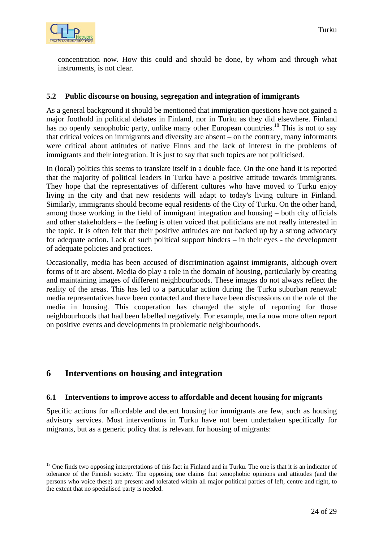<span id="page-23-0"></span>

concentration now. How this could and should be done, by whom and through what instruments, is not clear.

#### **5.2 Public discourse on housing, segregation and integration of immigrants**

As a general background it should be mentioned that immigration questions have not gained a major foothold in political debates in Finland, nor in Turku as they did elsewhere. Finland has no openly xenophobic party, unlike many other European countries.<sup>18</sup> This is not to say that critical voices on immigrants and diversity are absent – on the contrary, many informants were critical about attitudes of native Finns and the lack of interest in the problems of immigrants and their integration. It is just to say that such topics are not politicised.

In (local) politics this seems to translate itself in a double face. On the one hand it is reported that the majority of political leaders in Turku have a positive attitude towards immigrants. They hope that the representatives of different cultures who have moved to Turku enjoy living in the city and that new residents will adapt to today's living culture in Finland. Similarly, immigrants should become equal residents of the City of Turku. On the other hand, among those working in the field of immigrant integration and housing – both city officials and other stakeholders – the feeling is often voiced that politicians are not really interested in the topic. It is often felt that their positive attitudes are not backed up by a strong advocacy for adequate action. Lack of such political support hinders – in their eyes - the development of adequate policies and practices.

Occasionally, media has been accused of discrimination against immigrants, although overt forms of it are absent. Media do play a role in the domain of housing, particularly by creating and maintaining images of different neighbourhoods. These images do not always reflect the reality of the areas. This has led to a particular action during the Turku suburban renewal: media representatives have been contacted and there have been discussions on the role of the media in housing. This cooperation has changed the style of reporting for those neighbourhoods that had been labelled negatively. For example, media now more often report on positive events and developments in problematic neighbourhoods.

## **6 Interventions on housing and integration**

 $\overline{a}$ 

#### **6.1 Interventions to improve access to affordable and decent housing for migrants**

Specific actions for affordable and decent housing for immigrants are few, such as housing advisory services. Most interventions in Turku have not been undertaken specifically for migrants, but as a generic policy that is relevant for housing of migrants:

<span id="page-23-1"></span> $18$  One finds two opposing interpretations of this fact in Finland and in Turku. The one is that it is an indicator of tolerance of the Finnish society. The opposing one claims that xenophobic opinions and attitudes (and the persons who voice these) are present and tolerated within all major political parties of left, centre and right, to the extent that no specialised party is needed.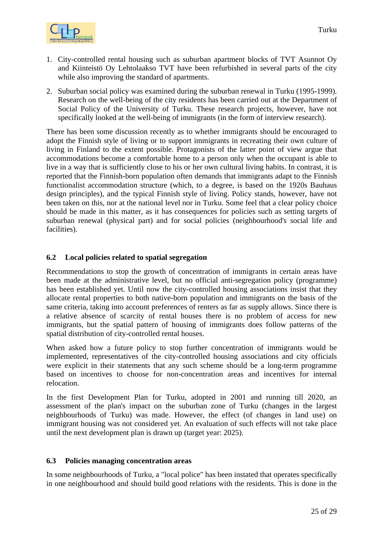<span id="page-24-0"></span>

- 1. City-controlled rental housing such as suburban apartment blocks of TVT Asunnot Oy and Kiinteistö Oy Lehtolaakso TVT have been refurbished in several parts of the city while also improving the standard of apartments.
- 2. Suburban social policy was examined during the suburban renewal in Turku (1995-1999). Research on the well-being of the city residents has been carried out at the Department of Social Policy of the University of Turku. These research projects, however, have not specifically looked at the well-being of immigrants (in the form of interview research).

There has been some discussion recently as to whether immigrants should be encouraged to adopt the Finnish style of living or to support immigrants in recreating their own culture of living in Finland to the extent possible. Protagonists of the latter point of view argue that accommodations become a comfortable home to a person only when the occupant is able to live in a way that is sufficiently close to his or her own cultural living habits. In contrast, it is reported that the Finnish-born population often demands that immigrants adapt to the Finnish functionalist accommodation structure (which, to a degree, is based on the 1920s Bauhaus design principles), and the typical Finnish style of living. Policy stands, however, have not been taken on this, nor at the national level nor in Turku. Some feel that a clear policy choice should be made in this matter, as it has consequences for policies such as setting targets of suburban renewal (physical part) and for social policies (neighbourhood's social life and facilities).

#### **6.2 Local policies related to spatial segregation**

Recommendations to stop the growth of concentration of immigrants in certain areas have been made at the administrative level, but no official anti-segregation policy (programme) has been established yet. Until now the city-controlled housing associations insist that they allocate rental properties to both native-born population and immigrants on the basis of the same criteria, taking into account preferences of renters as far as supply allows. Since there is a relative absence of scarcity of rental houses there is no problem of access for new immigrants, but the spatial pattern of housing of immigrants does follow patterns of the spatial distribution of city-controlled rental houses.

When asked how a future policy to stop further concentration of immigrants would be implemented, representatives of the city-controlled housing associations and city officials were explicit in their statements that any such scheme should be a long-term programme based on incentives to choose for non-concentration areas and incentives for internal relocation.

In the first Development Plan for Turku, adopted in 2001 and running till 2020, an assessment of the plan's impact on the suburban zone of Turku (changes in the largest neighbourhoods of Turku) was made. However, the effect (of changes in land use) on immigrant housing was not considered yet. An evaluation of such effects will not take place until the next development plan is drawn up (target year: 2025).

#### **6.3 Policies managing concentration areas**

In some neighbourhoods of Turku, a "local police" has been instated that operates specifically in one neighbourhood and should build good relations with the residents. This is done in the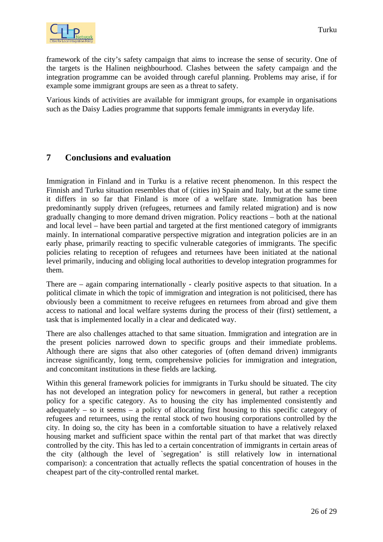<span id="page-25-0"></span>

framework of the city's safety campaign that aims to increase the sense of security. One of the targets is the Halinen neighbourhood. Clashes between the safety campaign and the integration programme can be avoided through careful planning. Problems may arise, if for example some immigrant groups are seen as a threat to safety.

Various kinds of activities are available for immigrant groups, for example in organisations such as the Daisy Ladies programme that supports female immigrants in everyday life.

## **7 Conclusions and evaluation**

Immigration in Finland and in Turku is a relative recent phenomenon. In this respect the Finnish and Turku situation resembles that of (cities in) Spain and Italy, but at the same time it differs in so far that Finland is more of a welfare state. Immigration has been predominantly supply driven (refugees, returnees and family related migration) and is now gradually changing to more demand driven migration. Policy reactions – both at the national and local level – have been partial and targeted at the first mentioned category of immigrants mainly. In international comparative perspective migration and integration policies are in an early phase, primarily reacting to specific vulnerable categories of immigrants. The specific policies relating to reception of refugees and returnees have been initiated at the national level primarily, inducing and obliging local authorities to develop integration programmes for them.

There are – again comparing internationally - clearly positive aspects to that situation. In a political climate in which the topic of immigration and integration is not politicised, there has obviously been a commitment to receive refugees en returnees from abroad and give them access to national and local welfare systems during the process of their (first) settlement, a task that is implemented locally in a clear and dedicated way.

There are also challenges attached to that same situation. Immigration and integration are in the present policies narrowed down to specific groups and their immediate problems. Although there are signs that also other categories of (often demand driven) immigrants increase significantly, long term, comprehensive policies for immigration and integration, and concomitant institutions in these fields are lacking.

Within this general framework policies for immigrants in Turku should be situated. The city has not developed an integration policy for newcomers in general, but rather a reception policy for a specific category. As to housing the city has implemented consistently and adequately – so it seems – a policy of allocating first housing to this specific category of refugees and returnees, using the rental stock of two housing corporations controlled by the city. In doing so, the city has been in a comfortable situation to have a relatively relaxed housing market and sufficient space within the rental part of that market that was directly controlled by the city. This has led to a certain concentration of immigrants in certain areas of the city (although the level of `segregation' is still relatively low in international comparison): a concentration that actually reflects the spatial concentration of houses in the cheapest part of the city-controlled rental market.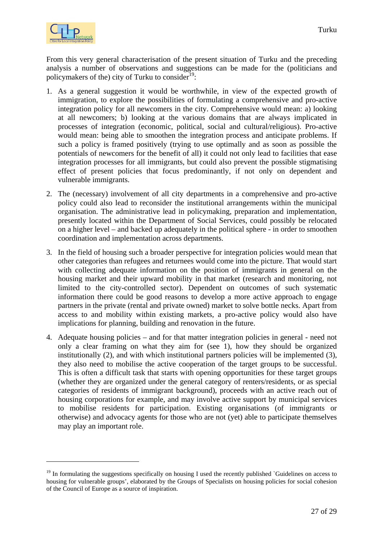

From this very general characterisation of the present situation of Turku and the preceding analysis a number of observations and suggestions can be made for the (politicians and policymakers of the) city of Turku to consider $19$ :

- 1. As a general suggestion it would be worthwhile, in view of the expected growth of immigration, to explore the possibilities of formulating a comprehensive and pro-active integration policy for all newcomers in the city. Comprehensive would mean: a) looking at all newcomers; b) looking at the various domains that are always implicated in processes of integration (economic, political, social and cultural/religious). Pro-active would mean: being able to smoothen the integration process and anticipate problems. If such a policy is framed positively (trying to use optimally and as soon as possible the potentials of newcomers for the benefit of all) it could not only lead to facilities that ease integration processes for all immigrants, but could also prevent the possible stigmatising effect of present policies that focus predominantly, if not only on dependent and vulnerable immigrants.
- 2. The (necessary) involvement of all city departments in a comprehensive and pro-active policy could also lead to reconsider the institutional arrangements within the municipal organisation. The administrative lead in policymaking, preparation and implementation, presently located within the Department of Social Services, could possibly be relocated on a higher level – and backed up adequately in the political sphere - in order to smoothen coordination and implementation across departments.
- 3. In the field of housing such a broader perspective for integration policies would mean that other categories than refugees and returnees would come into the picture. That would start with collecting adequate information on the position of immigrants in general on the housing market and their upward mobility in that market (research and monitoring, not limited to the city-controlled sector). Dependent on outcomes of such systematic information there could be good reasons to develop a more active approach to engage partners in the private (rental and private owned) market to solve bottle necks. Apart from access to and mobility within existing markets, a pro-active policy would also have implications for planning, building and renovation in the future.
- 4. Adequate housing policies and for that matter integration policies in general need not only a clear framing on what they aim for (see 1), how they should be organized institutionally (2), and with which institutional partners policies will be implemented (3), they also need to mobilise the active cooperation of the target groups to be successful. This is often a difficult task that starts with opening opportunities for these target groups (whether they are organized under the general category of renters/residents, or as special categories of residents of immigrant background), proceeds with an active reach out of housing corporations for example, and may involve active support by municipal services to mobilise residents for participation. Existing organisations (of immigrants or otherwise) and advocacy agents for those who are not (yet) able to participate themselves may play an important role.

<span id="page-26-0"></span> $19$  In formulating the suggestions specifically on housing I used the recently published `Guidelines on access to housing for vulnerable groups', elaborated by the Groups of Specialists on housing policies for social cohesion of the Council of Europe as a source of inspiration.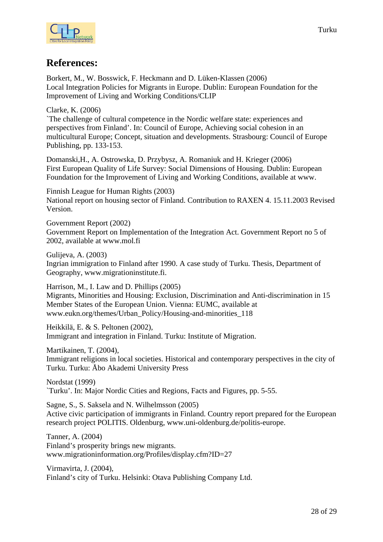

## **References:**

Borkert, M., W. Bosswick, F. Heckmann and D. Lüken-Klassen (2006) Local Integration Policies for Migrants in Europe. Dublin: European Foundation for the Improvement of Living and Working Conditions/CLIP

Clarke, K. (2006)

`The challenge of cultural competence in the Nordic welfare state: experiences and perspectives from Finland'. In: Council of Europe, Achieving social cohesion in an multicultural Europe; Concept, situation and developments. Strasbourg: Council of Europe Publishing, pp. 133-153.

Domanski,H., A. Ostrowska, D. Przybysz, A. Romaniuk and H. Krieger (2006) First European Quality of Life Survey: Social Dimensions of Housing. Dublin: European Foundation for the Improvement of Living and Working Conditions, available at www.

Finnish League for Human Rights (2003) National report on housing sector of Finland. Contribution to RAXEN 4. 15.11.2003 Revised Version.

Government Report (2002) Government Report on Implementation of the Integration Act. Government Report no 5 of 2002, available at www.mol.fi

Gulijeva, A. (2003) Ingrian immigration to Finland after 1990. A case study of Turku. Thesis, Department of Geography, www.migrationinstitute.fi.

Harrison, M., I. Law and D. Phillips (2005) Migrants, Minorities and Housing: Exclusion, Discrimination and Anti-discrimination in 15 Member States of the European Union. Vienna: EUMC, available at www.eukn.org/themes/Urban\_Policy/Housing-and-minorities\_118

Heikkilä, E. & S. Peltonen (2002), Immigrant and integration in Finland. Turku: Institute of Migration.

Martikainen, T. (2004), Immigrant religions in local societies. Historical and contemporary perspectives in the city of Turku. Turku: Åbo Akademi University Press

Nordstat (1999) `Turku'. In: Major Nordic Cities and Regions, Facts and Figures, pp. 5-55.

Sagne, S., S. Saksela and N. Wilhelmsson (2005) Active civic participation of immigrants in Finland. Country report prepared for the European research project POLITIS. Oldenburg, www.uni-oldenburg.de/politis-europe.

Tanner, A. (2004) Finland's prosperity brings new migrants. www.migrationinformation.org/Profiles/display.cfm?ID=27

Virmavirta, J. (2004), Finland's city of Turku. Helsinki: Otava Publishing Company Ltd.